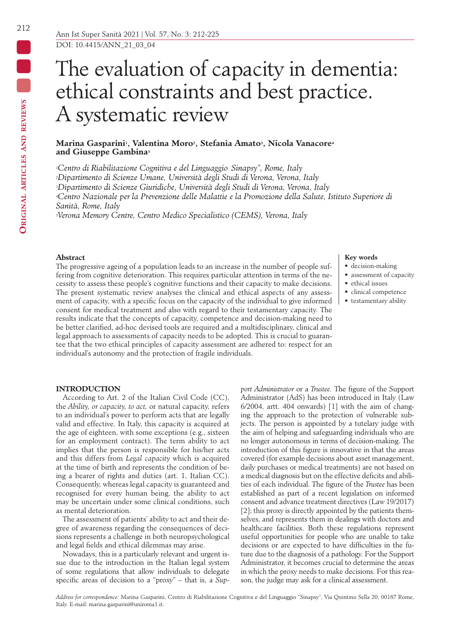# The evaluation of capacity in dementia: ethical constraints and best practice. A systematic review

## Marina Gasparini<sup>1</sup>, Valentina Moro<sup>2</sup>, Stefania Amato<sup>3</sup>, Nicola Vanacore<sup>4</sup> **and Giuseppe Gambina5**

*1Centro di Riabilitazione Cognitiva e del Linguaggio " Sinapsy", Rome, Italy 2Dipartimento di Scienze Umane, Università degli Studi di Verona, Verona, Italy 3Dipartimento di Scienze Giuridiche, Università degli Studi di Verona, Verona, Italy 4Centro Nazionale per la Prevenzione delle Malattie e la Promozione della Salute, Istituto Superiore di Sanità, Rome, Italy*

*5Verona Memory Centre, Centro Medico Specialistico (CEMS), Verona, Italy*

# **Abstract**

The progressive ageing of a population leads to an increase in the number of people suffering from cognitive deterioration. This requires particular attention in terms of the necessity to assess these people's cognitive functions and their capacity to make decisions. The present systematic review analyses the clinical and ethical aspects of any assessment of capacity, with a specific focus on the capacity of the individual to give informed consent for medical treatment and also with regard to their testamentary capacity. The results indicate that the concepts of capacity, competence and decision-making need to be better clarified, ad-hoc devised tools are required and a multidisciplinary, clinical and legal approach to assessments of capacity needs to be adopted. This is crucial to guarantee that the two ethical principles of capacity assessment are adhered to: respect for an individual's autonomy and the protection of fragile individuals.

#### **Key words**

- decision-making
- assessment of capacity
- ethical issues
- clinical competence
- testamentary ability

# **INTRODUCTION**

According to Art. 2 of the Italian Civil Code (CC), the *Ability, or capacity, to act,* or natural capacity, refers to an individual's power to perform acts that are legally valid and effective. In Italy, this capacity is acquired at the age of eighteen, with some exceptions (e.g., sixteen for an employment contract). The term ability to act implies that the person is responsible for his/her acts and this differs from *Legal capacity* which is acquired at the time of birth and represents the condition of being a bearer of rights and duties (art. 1, Italian CC). Consequently, whereas legal capacity is guaranteed and recognised for every human being, the ability to act may be uncertain under some clinical conditions, such as mental deterioration.

The assessment of patients' ability to act and their degree of awareness regarding the consequences of decisions represents a challenge in both neuropsychological and legal fields and ethical dilemmas may arise.

Nowadays, this is a particularly relevant and urgent issue due to the introduction in the Italian legal system of some regulations that allow individuals to delegate specific areas of decision to a "proxy" – that is, a *Sup-* *port Administrator* or a *Trustee.* The figure of the Support Administrator (AdS) has been introduced in Italy (Law 6/2004, artt. 404 onwards) [1] with the aim of changing the approach to the protection of vulnerable subjects. The person is appointed by a tutelary judge with the aim of helping and safeguarding individuals who are no longer autonomous in terms of decision-making. The introduction of this figure is innovative in that the areas covered (for example decisions about asset management, daily purchases or medical treatments) are not based on a medical diagnosis but on the effective deficits and abilities of each individual. The figure of the *Trustee* has been established as part of a recent legislation on informed consent and advance treatment directives (Law 19/2017) [2]; this proxy is directly appointed by the patients themselves, and represents them in dealings with doctors and healthcare facilities. Both these regulations represent useful opportunities for people who are unable to take decisions or are expected to have difficulties in the future due to the diagnosis of a pathology. For the Support Administrator, it becomes crucial to determine the areas in which the proxy needs to make decisions. For this reason, the judge may ask for a clinical assessment.

Ā

*Address for correspondence*: Marina Gasparini, Centro di Riabilitazione Cognitiva e del Linguaggio "Sinapsy", Via Quintino Sella 20, 00187 Rome, Italy. E-mail: marina.gasparini@uniroma1.it.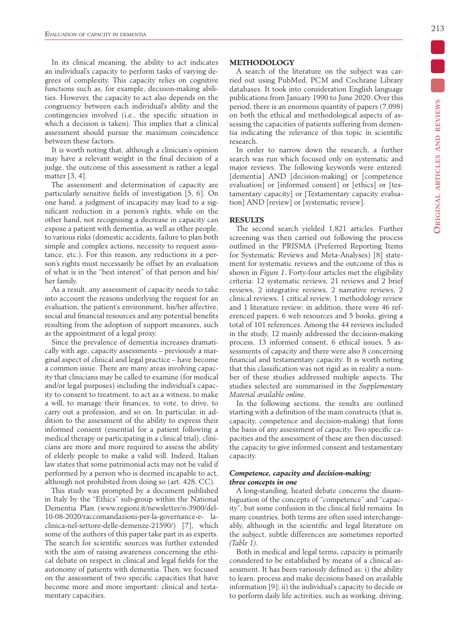In its clinical meaning, the ability to act indicates an individual's capacity to perform tasks of varying degrees of complexity. This capacity relies on cognitive functions such as, for example, decision-making abilities. However, the capacity to act also depends on the congruency between each individual's ability and the contingencies involved (i.e., the specific situation in which a decision is taken). This implies that a clinical assessment should pursue the maximum coincidence between these factors.

It is worth noting that, although a clinician's opinion may have a relevant weight in the final decision of a judge, the outcome of this assessment is rather a legal matter [3, 4].

The assessment and determination of capacity are particularly sensitive fields of investigation [5, 6]. On one hand, a judgment of incapacity may lead to a significant reduction in a person's rights, while on the other hand, not recognising a decrease in capacity can expose a patient with dementia, as well as other people, to various risks (domestic accidents, failure to plan both simple and complex actions, necessity to request assistance, etc.). For this reason, any reductions in a person's rights must necessarily be offset by an evaluation of what is in the "best interest" of that person and his/ her family.

As a result, any assessment of capacity needs to take into account the reasons underlying the request for an evaluation, the patient's environment, his/her affective, social and financial resources and any potential benefits resulting from the adoption of support measures, such as the appointment of a legal proxy.

Since the prevalence of dementia increases dramatically with age, capacity assessments – previously a marginal aspect of clinical and legal practice – have become a common issue. There are many areas involving capacity that clinicians may be called to examine (for medical and/or legal purposes) including the individual's capacity to consent to treatment, to act as a witness, to make a will, to manage their finances, to vote, to drive, to carry out a profession, and so on. In particular, in addition to the assessment of the ability to express their informed consent (essential for a patient following a medical therapy or participating in a clinical trial), clinicians are more and more required to assess the ability of elderly people to make a valid will. Indeed, Italian law states that some patrimonial acts may not be valid if performed by a person who is deemed incapable to act, although not prohibited from doing so (art. 428, CC).

This study was prompted by a document published in Italy by the "Ethics" sub-group within the National Dementia Plan (www.regioni.it/newsletter/n-3900/del-10-08-2020/raccomandazioni-per-la-governance-e- laclinica-nel-settore-delle-demenze-21590/) [7], which some of the authors of this paper take part in as experts. The search for scientific sources was further extended with the aim of raising awareness concerning the ethical debate on respect in clinical and legal fields for the autonomy of patients with dementia. Then, we focused on the assessment of two specific capacities that have become more and more important: clinical and testamentary capacities.

## **METHODOLOGY**

A search of the literature on the subject was carried out using PubMed, PCM and Cochrane Library databases. It took into consideration English language publications from January 1990 to June 2020. Over this period, there is an enormous quantity of papers (7,098) on both the ethical and methodological aspects of assessing the capacities of patients suffering from dementia indicating the relevance of this topic in scientific research.

In order to narrow down the research, a further search was run which focused only on systematic and major reviews. The following keywords were entered: [dementia] AND [decision-making] or [competence] evaluation] or [informed consent] or [ethics] or [testamentary capacity] or [Testamentary capacity evaluation] AND [review] or [systematic review].

# **RESULTS**

The second search yielded 1,821 articles. Further screening was then carried out following the process outlined in the PRISMA (Preferred Reporting Items for Systematic Reviews and Meta-Analyses) [8] statement for systematic reviews and the outcome of this is shown in *Figure 1*. Forty-four articles met the eligibility criteria: 12 systematic reviews, 21 reviews and 2 brief reviews, 2 integrative reviews, 2 narrative reviews, 2 clinical reviews, 1 critical review, 1 methodology review and 1 literature review; in addition, there were 46 referenced papers, 6 web resources and 5 books, giving a total of 101 references. Among the 44 reviews included in the study, 12 mainly addressed the decision-making process, 13 informed consent, 6 ethical issues, 5 assessments of capacity and there were also 8 concerning financial and testamentary capacity. It is worth noting that this classification was not rigid as in reality a number of these studies addressed multiple aspects. The studies selected are summarised in the *Supplementary Material available online.*

In the following sections, the results are outlined starting with a definition of the main constructs (that is, capacity, competence and decision-making) that form the basis of any assessment of capacity. Two specific capacities and the assessment of these are then discussed: the capacity to give informed consent and testamentary capacity.

## *Competence, capacity and decision-making: three concepts in one*

A long-standing, heated debate concerns the disambiguation of the concepts of "competence" and "capacity", but some confusion in the clinical field remains. In many countries, both terms are often used interchangeably, although in the scientific and legal literature on the subject, subtle differences are sometimes reported *(Table 1)*.

Both in medical and legal terms, *capacity* is primarily considered to be established by means of a clinical assessment. It has been variously defined as: i) the ability to learn, process and make decisions based on available information [9]; ii) the individual's capacity to decide or to perform daily life activities, such as working, driving,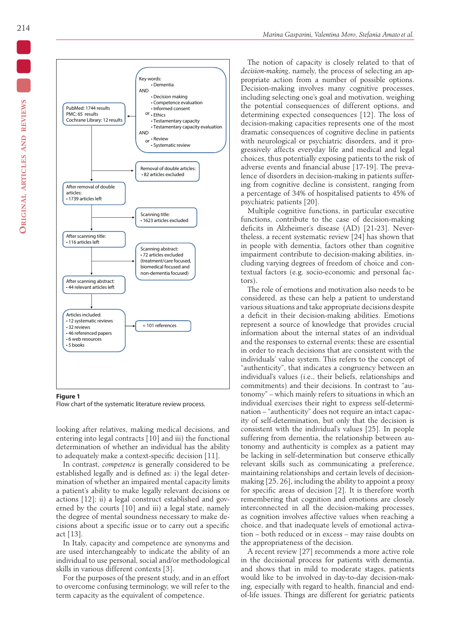

**Figure 1** Flow chart of the systematic literature review process.

looking after relatives, making medical decisions, and entering into legal contracts [10] and iii) the functional determination of whether an individual has the ability to adequately make a context-specific decision [11].

In contrast, *competence* is generally considered to be established legally and is defined as: i) the legal determination of whether an impaired mental capacity limits a patient's ability to make legally relevant decisions or actions [12]; ii) a legal construct established and governed by the courts [10] and iii) a legal state, namely the degree of mental soundness necessary to make decisions about a specific issue or to carry out a specific act [13].

In Italy, capacity and competence are synonyms and are used interchangeably to indicate the ability of an individual to use personal, social and/or methodological skills in various different contexts [3].

For the purposes of the present study, and in an effort to overcome confusing terminology, we will refer to the term capacity as the equivalent of competence.

The notion of capacity is closely related to that of *decision-making*, namely, the process of selecting an appropriate action from a number of possible options. Decision-making involves many cognitive processes, including selecting one's goal and motivation, weighing the potential consequences of different options, and determining expected consequences [12]. The loss of decision-making capacities represents one of the most dramatic consequences of cognitive decline in patients with neurological or psychiatric disorders, and it progressively affects everyday life and medical and legal choices, thus potentially exposing patients to the risk of adverse events and financial abuse [17-19]. The prevalence of disorders in decision-making in patients suffering from cognitive decline is consistent, ranging from a percentage of 34% of hospitalised patients to 45% of psychiatric patients [20].

Multiple cognitive functions, in particular executive functions, contribute to the case of decision-making deficits in Alzheimer's disease (AD) [21-23]. Nevertheless, a recent systematic review [24] has shown that in people with dementia, factors other than cognitive impairment contribute to decision-making abilities, including varying degrees of freedom of choice and contextual factors (e.g. socio-economic and personal factors).

The role of emotions and motivation also needs to be considered, as these can help a patient to understand various situations and take appropriate decisions despite a deficit in their decision-making abilities. Emotions represent a source of knowledge that provides crucial information about the internal states of an individual and the responses to external events; these are essential in order to reach decisions that are consistent with the individuals' value system. This refers to the concept of "authenticity", that indicates a congruency between an individual's values (i.e., their beliefs, relationships and commitments) and their decisions. In contrast to "autonomy" – which mainly refers to situations in which an individual exercises their right to express self-determination – "authenticity" does not require an intact capacity of self-determination, but only that the decision is consistent with the individual's values [25]. In people suffering from dementia, the relationship between autonomy and authenticity is complex as a patient may be lacking in self-determination but conserve ethically relevant skills such as communicating a preference, maintaining relationships and certain levels of decisionmaking [25, 26], including the ability to appoint a proxy for specific areas of decision [2]. It is therefore worth remembering that cognition and emotions are closely interconnected in all the decision-making processes, as cognition involves affective values when reaching a choice, and that inadequate levels of emotional activation – both reduced or in excess – may raise doubts on the appropriateness of the decision.

A recent review [27] recommends a more active role in the decisional process for patients with dementia, and shows that in mild to moderate stages, patients would like to be involved in day-to-day decision-making, especially with regard to health, financial and endof-life issues. Things are different for geriatric patients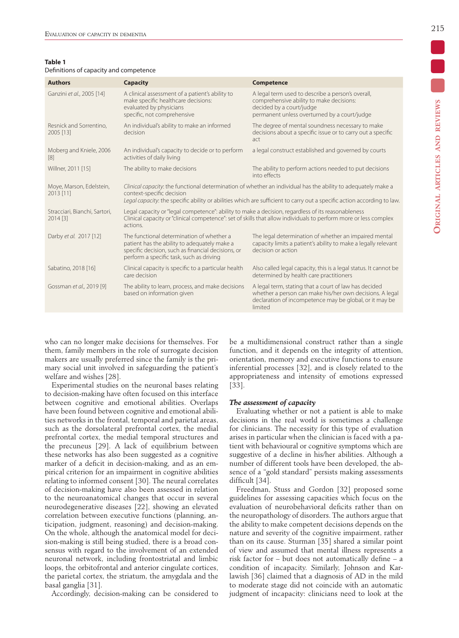#### **Table 1**

| Definitions of capacity and competence |  |  |
|----------------------------------------|--|--|
|----------------------------------------|--|--|

| <b>Authors</b>                            | <b>Capacity</b>                                                                                                                                                                                                                                                       | <b>Competence</b>                                                                                                                                                                       |
|-------------------------------------------|-----------------------------------------------------------------------------------------------------------------------------------------------------------------------------------------------------------------------------------------------------------------------|-----------------------------------------------------------------------------------------------------------------------------------------------------------------------------------------|
| Ganzini et al., 2005 [14]                 | A clinical assessment of a patient's ability to<br>make specific healthcare decisions:<br>evaluated by physicians<br>specific, not comprehensive                                                                                                                      | A legal term used to describe a person's overall,<br>comprehensive ability to make decisions:<br>decided by a court/judge<br>permanent unless overturned by a court/judge               |
| Resnick and Sorrentino,<br>2005 [13]      | An individual's ability to make an informed<br>decision                                                                                                                                                                                                               | The degree of mental soundness necessary to make<br>decisions about a specific issue or to carry out a specific<br>act                                                                  |
| Moberg and Kniele, 2006<br> 8             | An individual's capacity to decide or to perform<br>activities of daily living                                                                                                                                                                                        | a legal construct established and governed by courts                                                                                                                                    |
| Willner, 2011 [15]                        | The ability to make decisions                                                                                                                                                                                                                                         | The ability to perform actions needed to put decisions<br>into effects                                                                                                                  |
| Moye, Marson, Edelstein,<br>2013 [11]     | Clinical capacity: the functional determination of whether an individual has the ability to adequately make a<br>context-specific decision<br>Legal capacity: the specific ability or abilities which are sufficient to carry out a specific action according to law. |                                                                                                                                                                                         |
| Stracciari, Bianchi, Sartori,<br>2014 [3] | Legal capacity or "legal competence": ability to make a decision, regardless of its reasonableness<br>Clinical capacity or "clinical competence": set of skills that allow individuals to perform more or less complex<br>actions.                                    |                                                                                                                                                                                         |
| Darby et al. 2017 [12]                    | The functional determination of whether a<br>patient has the ability to adequately make a<br>specific decision, such as financial decisions, or<br>perform a specific task, such as driving                                                                           | The legal determination of whether an impaired mental<br>capacity limits a patient's ability to make a legally relevant<br>decision or action                                           |
| Sabatino, 2018 [16]                       | Clinical capacity is specific to a particular health<br>care decision                                                                                                                                                                                                 | Also called legal capacity, this is a legal status. It cannot be<br>determined by health care practitioners                                                                             |
| Gossman et al., 2019 [9]                  | The ability to learn, process, and make decisions<br>based on information given                                                                                                                                                                                       | A legal term, stating that a court of law has decided<br>whether a person can make his/her own decisions. A legal<br>declaration of incompetence may be global, or it may be<br>limited |
|                                           |                                                                                                                                                                                                                                                                       |                                                                                                                                                                                         |

who can no longer make decisions for themselves. For them, family members in the role of surrogate decision makers are usually preferred since the family is the primary social unit involved in safeguarding the patient's welfare and wishes [28].

Experimental studies on the neuronal bases relating to decision-making have often focused on this interface between cognitive and emotional abilities. Overlaps have been found between cognitive and emotional abilities networks in the frontal, temporal and parietal areas, such as the dorsolateral prefrontal cortex, the medial prefrontal cortex, the medial temporal structures and the precuneus [29]. A lack of equilibrium between these networks has also been suggested as a cognitive marker of a deficit in decision-making, and as an empirical criterion for an impairment in cognitive abilities relating to informed consent [30]. The neural correlates of decision-making have also been assessed in relation to the neuroanatomical changes that occur in several neurodegenerative diseases [22], showing an elevated correlation between executive functions (planning, anticipation, judgment, reasoning) and decision-making. On the whole, although the anatomical model for decision-making is still being studied, there is a broad consensus with regard to the involvement of an extended neuronal network, including frontostriatal and limbic loops, the orbitofrontal and anterior cingulate cortices, the parietal cortex, the striatum, the amygdala and the basal ganglia [31].

Accordingly, decision-making can be considered to

be a multidimensional construct rather than a single function, and it depends on the integrity of attention, orientation, memory and executive functions to ensure inferential processes [32], and is closely related to the appropriateness and intensity of emotions expressed [33].

#### *The assessment of capacity*

Evaluating whether or not a patient is able to make decisions in the real world is sometimes a challenge for clinicians. The necessity for this type of evaluation arises in particular when the clinician is faced with a patient with behavioural or cognitive symptoms which are suggestive of a decline in his/her abilities. Although a number of different tools have been developed, the absence of a "gold standard" persists making assessments difficult [34].

Freedman, Stuss and Gordon [32] proposed some guidelines for assessing capacities which focus on the evaluation of neurobehavioral deficits rather than on the neuropathology of disorders. The authors argue that the ability to make competent decisions depends on the nature and severity of the cognitive impairment, rather than on its cause. Sturman [35] shared a similar point of view and assumed that mental illness represents a risk factor for – but does not automatically define – a condition of incapacity. Similarly, Johnson and Karlawish [36] claimed that a diagnosis of AD in the mild to moderate stage did not coincide with an automatic judgment of incapacity: clinicians need to look at the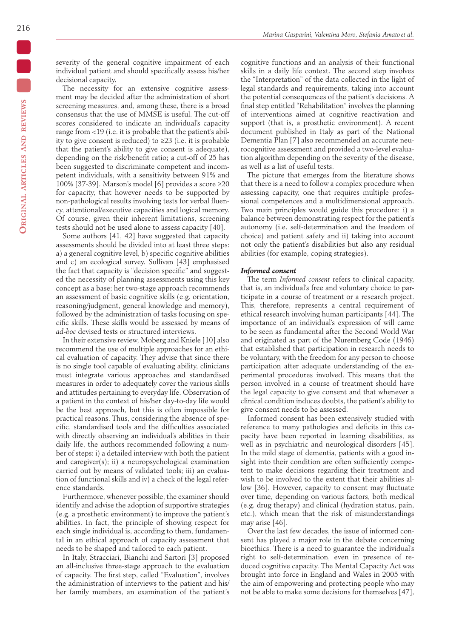severity of the general cognitive impairment of each individual patient and should specifically assess his/her decisional capacity.

The necessity for an extensive cognitive assessment may be decided after the administration of short screening measures, and, among these, there is a broad consensus that the use of MMSE is useful. The cut-off scores considered to indicate an individual's capacity range from <19 (i.e. it is probable that the patient's ability to give consent is reduced) to ≥23 (i.e. it is probable that the patient's ability to give consent is adequate), depending on the risk/benefit ratio; a cut-off of 25 has been suggested to discriminate competent and incompetent individuals, with a sensitivity between 91% and 100% [37-39]. Marson's model [6] provides a score ≥20 for capacity, that however needs to be supported by non-pathological results involving tests for verbal fluency, attentional/executive capacities and logical memory. Of course, given their inherent limitations, screening tests should not be used alone to assess capacity [40].

Some authors [41, 42] have suggested that capacity assessments should be divided into at least three steps: a) a general cognitive level, b) specific cognitive abilities and c) an ecological survey. Sullivan [43] emphasised the fact that capacity is "decision specific" and suggested the necessity of planning assessments using this key concept as a base; her two-stage approach recommends an assessment of basic cognitive skills (e.g. orientation, reasoning/judgment, general knowledge and memory), followed by the administration of tasks focusing on specific skills. These skills would be assessed by means of *ad-hoc* devised tests or structured interviews.

In their extensive review, Moberg and Kniele [10] also recommend the use of multiple approaches for an ethical evaluation of capacity. They advise that since there is no single tool capable of evaluating ability, clinicians must integrate various approaches and standardised measures in order to adequately cover the various skills and attitudes pertaining to everyday life. Observation of a patient in the context of his/her day-to-day life would be the best approach, but this is often impossible for practical reasons. Thus, considering the absence of specific, standardised tools and the difficulties associated with directly observing an individual's abilities in their daily life, the authors recommended following a number of steps: i) a detailed interview with both the patient and caregiver(s); ii) a neuropsychological examination carried out by means of validated tools; iii) an evaluation of functional skills and iv) a check of the legal reference standards.

Furthermore, whenever possible, the examiner should identify and advise the adoption of supportive strategies (e.g. a prosthetic environment) to improve the patient's abilities. In fact, the principle of showing respect for each single individual is, according to them, fundamental in an ethical approach of capacity assessment that needs to be shaped and tailored to each patient.

In Italy, Stracciari, Bianchi and Sartori [3] proposed an all-inclusive three-stage approach to the evaluation of capacity. The first step, called "Evaluation", involves the administration of interviews to the patient and his/ her family members, an examination of the patient's cognitive functions and an analysis of their functional skills in a daily life context. The second step involves the "Interpretation" of the data collected in the light of legal standards and requirements, taking into account the potential consequences of the patient's decisions. A final step entitled "Rehabilitation" involves the planning of interventions aimed at cognitive reactivation and support (that is, a prosthetic environment). A recent document published in Italy as part of the National Dementia Plan [7] also recommended an accurate neurocognitive assessment and provided a two-level evaluation algorithm depending on the severity of the disease, as well as a list of useful tests.

The picture that emerges from the literature shows that there is a need to follow a complex procedure when assessing capacity, one that requires multiple professional competences and a multidimensional approach. Two main principles would guide this procedure: i) a balance between demonstrating respect for the patient's autonomy (i.e. self-determination and the freedom of choice) and patient safety and ii) taking into account not only the patient's disabilities but also any residual abilities (for example, coping strategies).

#### *Informed consent*

The term *Informed consent* refers to clinical capacity, that is, an individual's free and voluntary choice to participate in a course of treatment or a research project. This, therefore, represents a central requirement of ethical research involving human participants [44]. The importance of an individual's expression of will came to be seen as fundamental after the Second World War and originated as part of the Nuremberg Code (1946) that established that participation in research needs to be voluntary, with the freedom for any person to choose participation after adequate understanding of the experimental procedures involved. This means that the person involved in a course of treatment should have the legal capacity to give consent and that whenever a clinical condition induces doubts, the patient's ability to give consent needs to be assessed.

Informed consent has been extensively studied with reference to many pathologies and deficits in this capacity have been reported in learning disabilities, as well as in psychiatric and neurological disorders [45]. In the mild stage of dementia, patients with a good insight into their condition are often sufficiently competent to make decisions regarding their treatment and wish to be involved to the extent that their abilities allow [36]. However, capacity to consent may fluctuate over time, depending on various factors, both medical (e.g. drug therapy) and clinical (hydration status, pain, etc.), which mean that the risk of misunderstandings may arise [46].

Over the last few decades, the issue of informed consent has played a major role in the debate concerning bioethics. There is a need to guarantee the individual's right to self-determination, even in presence of reduced cognitive capacity. The Mental Capacity Act was brought into force in England and Wales in 2005 with the aim of empowering and protecting people who may not be able to make some decisions for themselves [47],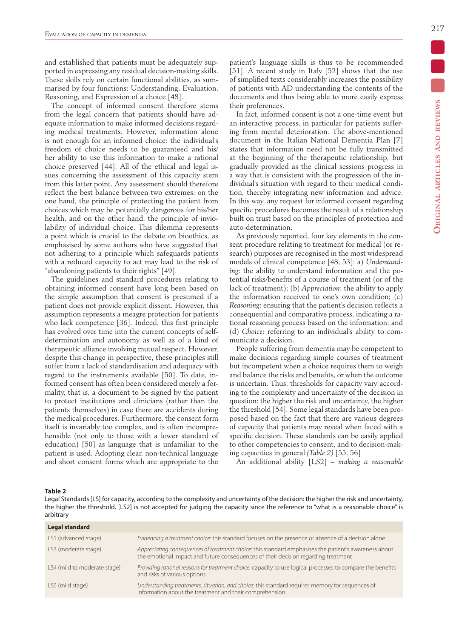and established that patients must be adequately supported in expressing any residual decision-making skills. These skills rely on certain functional abilities, as summarised by four functions: Understanding, Evaluation, Reasoning, and Expression of a choice [48].

The concept of informed consent therefore stems from the legal concern that patients should have adequate information to make informed decisions regarding medical treatments. However, information alone is not enough for an informed choice: the individual's freedom of choice needs to be guaranteed and his/ her ability to use this information to make a rational choice preserved [44]. All of the ethical and legal issues concerning the assessment of this capacity stem from this latter point. Any assessment should therefore reflect the best balance between two extremes: on the one hand, the principle of protecting the patient from choices which may be potentially dangerous for his/her health, and on the other hand, the principle of inviolability of individual choice. This dilemma represents a point which is crucial to the debate on bioethics, as emphasised by some authors who have suggested that not adhering to a principle which safeguards patients with a reduced capacity to act may lead to the risk of "abandoning patients to their rights" [49].

The guidelines and standard procedures relating to obtaining informed consent have long been based on the simple assumption that consent is presumed if a patient does not provide explicit dissent. However, this assumption represents a meagre protection for patients who lack competence [36]. Indeed, this first principle has evolved over time into the current concepts of selfdetermination and autonomy as well as of a kind of therapeutic alliance involving mutual respect. However, despite this change in perspective, these principles still suffer from a lack of standardisation and adequacy with regard to the instruments available [50]. To date, informed consent has often been considered merely a formality, that is, a document to be signed by the patient to protect institutions and clinicians (rather than the patients themselves) in case there are accidents during the medical procedures. Furthermore, the consent form itself is invariably too complex, and is often incomprehensible (not only to those with a lower standard of education) [50] as language that is unfamiliar to the patient is used. Adopting clear, non-technical language and short consent forms which are appropriate to the patient's language skills is thus to be recommended [51]. A recent study in Italy [52] shows that the use of simplified texts considerably increases the possibility of patients with AD understanding the contents of the documents and thus being able to more easily express their preferences.

In fact, informed consent is not a one-time event but an interactive process, in particular for patients suffering from mental deterioration. The above-mentioned document in the Italian National Dementia Plan [7] states that information need not be fully transmitted at the beginning of the therapeutic relationship, but gradually provided as the clinical sessions progress in a way that is consistent with the progression of the individual's situation with regard to their medical condition, thereby integrating new information and advice. In this way, any request for informed consent regarding specific procedures becomes the result of a relationship built on trust based on the principles of protection and auto-determination.

As previously reported, four key elements in the consent procedure relating to treatment for medical (or research) purposes are recognised in the most widespread models of clinical competence [48, 53]: a) *Understanding*: the ability to understand information and the potential risks/benefits of a course of treatment (or of the lack of treatment); (b) *Appreciation*: the ability to apply the information received to one's own condition; (c) *Reasoning*: ensuring that the patient's decision reflects a consequential and comparative process, indicating a rational reasoning process based on the information; and (d) *Choice*: referring to an individual's ability to communicate a decision.

People suffering from dementia may be competent to make decisions regarding simple courses of treatment but incompetent when a choice requires them to weigh and balance the risks and benefits, or when the outcome is uncertain. Thus, thresholds for capacity vary according to the complexity and uncertainty of the decision in question: the higher the risk and uncertainty, the higher the threshold [54]. Some legal standards have been proposed based on the fact that there are various degrees of capacity that patients may reveal when faced with a specific decision. These standards can be easily applied to other competencies to consent, and to decision-making capacities in general *(Table 2)* [55, 56]

An additional ability [LS2] – *making a reasonable* 

#### **Table 2**

Legal Standards [LS] for capacity, according to the complexity and uncertainty of the decision: the higher the risk and uncertainty, the higher the threshold. [LS2] is not accepted for judging the capacity since the reference to "what is a reasonable choice" is arbitrary

| <b>Legal standard</b>        |                                                                                                                                                                                             |
|------------------------------|---------------------------------------------------------------------------------------------------------------------------------------------------------------------------------------------|
| LS1 (advanced stage)         | Evidencing a treatment choice: this standard focuses on the presence or absence of a decision alone                                                                                         |
| LS3 (moderate stage)         | Appreciating consequences of treatment choice: this standard emphasises the patient's awareness about<br>the emotional impact and future consequences of their decision regarding treatment |
| LS4 (mild to moderate stage) | Providing rational reasons for treatment choice: capacity to use logical processes to compare the benefits<br>and risks of various options                                                  |
| LS5 (mild stage)             | Understanding treatments, situation, and choice: this standard requires memory for sequences of<br>information about the treatment and their comprehension                                  |
|                              |                                                                                                                                                                                             |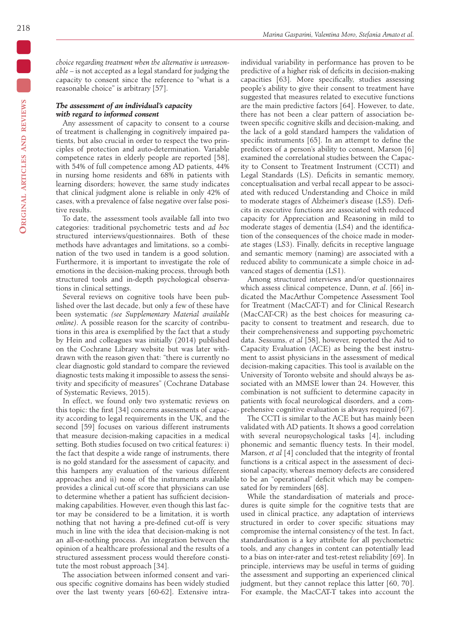*choice regarding treatment when the alternative is unreasonable* – is not accepted as a legal standard for judging the capacity to consent since the reference to "what is a reasonable choice" is arbitrary [57].

## *The assessment of an individual's capacity with regard to informed consent*

Any assessment of capacity to consent to a course of treatment is challenging in cognitively impaired patients, but also crucial in order to respect the two principles of protection and auto-determination. Variable competence rates in elderly people are reported [58], with 54% of full competence among AD patients, 44% in nursing home residents and 68% in patients with learning disorders; however, the same study indicates that clinical judgment alone is reliable in only 42% of cases, with a prevalence of false negative over false positive results.

To date, the assessment tools available fall into two categories: traditional psychometric tests and *ad hoc* structured interviews/questionnaires. Both of these methods have advantages and limitations, so a combination of the two used in tandem is a good solution. Furthermore, it is important to investigate the role of emotions in the decision-making process, through both structured tools and in-depth psychological observations in clinical settings.

Several reviews on cognitive tools have been published over the last decade, but only a few of these have been systematic *(see Supplementary Material available online)*. A possible reason for the scarcity of contributions in this area is exemplified by the fact that a study by Hein and colleagues was initially (2014) published on the Cochrane Library website but was later withdrawn with the reason given that: "there is currently no clear diagnostic gold standard to compare the reviewed diagnostic tests making it impossible to assess the sensitivity and specificity of measures" (Cochrane Database of Systematic Reviews, 2015).

In effect, we found only two systematic reviews on this topic: the first [34] concerns assessments of capacity according to legal requirements in the UK, and the second [59] focuses on various different instruments that measure decision-making capacities in a medical setting. Both studies focused on two critical features: i) the fact that despite a wide range of instruments, there is no gold standard for the assessment of capacity, and this hampers any evaluation of the various different approaches and ii) none of the instruments available provides a clinical cut-off score that physicians can use to determine whether a patient has sufficient decisionmaking capabilities. However, even though this last factor may be considered to be a limitation, it is worth nothing that not having a pre-defined cut-off is very much in line with the idea that decision-making is not an all-or-nothing process. An integration between the opinion of a healthcare professional and the results of a structured assessment process would therefore constitute the most robust approach [34].

The association between informed consent and various specific cognitive domains has been widely studied over the last twenty years [60-62]. Extensive intraindividual variability in performance has proven to be predictive of a higher risk of deficits in decision-making capacities [63]. More specifically, studies assessing people's ability to give their consent to treatment have suggested that measures related to executive functions are the main predictive factors [64]. However, to date, there has not been a clear pattern of association between specific cognitive skills and decision-making, and the lack of a gold standard hampers the validation of specific instruments [65]. In an attempt to define the predictors of a person's ability to consent, Marson [6] examined the correlational studies between the Capacity to Consent to Treatment Instrument (CCTI) and Legal Standards (LS). Deficits in semantic memory, conceptualisation and verbal recall appear to be associated with reduced Understanding and Choice in mild to moderate stages of Alzheimer's disease (LS5). Deficits in executive functions are associated with reduced capacity for Appreciation and Reasoning in mild to moderate stages of dementia (LS4) and the identification of the consequences of the choice made in moderate stages (LS3). Finally, deficits in receptive language and semantic memory (naming) are associated with a reduced ability to communicate a simple choice in advanced stages of dementia (LS1).

Among structured interviews and/or questionnaires which assess clinical competence, Dunn, *et al*. [66] indicated the MacArthur Competence Assessment Tool for Treatment (MacCAT-T) and for Clinical Research (MacCAT-CR) as the best choices for measuring capacity to consent to treatment and research, due to their comprehensiveness and supporting psychometric data. Sessums, *et al* [58], however, reported the Aid to Capacity Evaluation (ACE) as being the best instrument to assist physicians in the assessment of medical decision-making capacities. This tool is available on the University of Toronto website and should always be associated with an MMSE lower than 24. However, this combination is not sufficient to determine capacity in patients with focal neurological disorders, and a comprehensive cognitive evaluation is always required [67].

The CCTI is similar to the ACE but has mainly been validated with AD patients. It shows a good correlation with several neuropsychological tasks [4], including phonemic and semantic fluency tests. In their model, Marson, *et al* [4] concluded that the integrity of frontal functions is a critical aspect in the assessment of decisional capacity, whereas memory defects are considered to be an "operational" deficit which may be compensated for by reminders [68].

While the standardisation of materials and procedures is quite simple for the cognitive tests that are used in clinical practice, any adaptation of interviews structured in order to cover specific situations may compromise the internal consistency of the test. In fact, standardisation is a key attribute for all psychometric tools, and any changes in content can potentially lead to a bias on inter-rater and test-retest reliability [69]. In principle, interviews may be useful in terms of guiding the assessment and supporting an experienced clinical judgment, but they cannot replace this latter [60, 70]. For example, the MacCAT-T takes into account the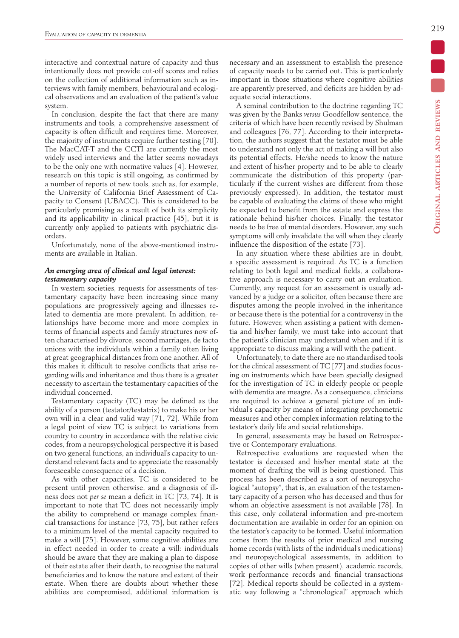interactive and contextual nature of capacity and thus intentionally does not provide cut-off scores and relies on the collection of additional information such as interviews with family members, behavioural and ecological observations and an evaluation of the patient's value system.

In conclusion, despite the fact that there are many instruments and tools, a comprehensive assessment of capacity is often difficult and requires time. Moreover, the majority of instruments require further testing [70]. The MacCAT-T and the CCTI are currently the most widely used interviews and the latter seems nowadays to be the only one with normative values [4]. However, research on this topic is still ongoing, as confirmed by a number of reports of new tools, such as, for example, the University of California Brief Assessment of Capacity to Consent (UBACC). This is considered to be particularly promising as a result of both its simplicity and its applicability in clinical practice [45], but it is currently only applied to patients with psychiatric disorders.

Unfortunately, none of the above-mentioned instruments are available in Italian.

## *An emerging area of clinical and legal interest: testamentary capacity*

In western societies, requests for assessments of testamentary capacity have been increasing since many populations are progressively ageing and illnesses related to dementia are more prevalent. In addition, relationships have become more and more complex in terms of financial aspects and family structures now often characterised by divorce, second marriages, de facto unions with the individuals within a family often living at great geographical distances from one another. All of this makes it difficult to resolve conflicts that arise regarding wills and inheritance and thus there is a greater necessity to ascertain the testamentary capacities of the individual concerned.

Testamentary capacity (TC) may be defined as the ability of a person (testator/testatrix) to make his or her own will in a clear and valid way [71, 72]. While from a legal point of view TC is subject to variations from country to country in accordance with the relative civic codes, from a neuropsychological perspective it is based on two general functions, an individual's capacity to understand relevant facts and to appreciate the reasonably foreseeable consequence of a decision.

As with other capacities, TC is considered to be present until proven otherwise, and a diagnosis of illness does not *per se* mean a deficit in TC [73, 74]. It is important to note that TC does not necessarily imply the ability to comprehend or manage complex financial transactions for instance [73, 75], but rather refers to a minimum level of the mental capacity required to make a will [75]. However, some cognitive abilities are in effect needed in order to create a will: individuals should be aware that they are making a plan to dispose of their estate after their death, to recognise the natural beneficiaries and to know the nature and extent of their estate. When there are doubts about whether these abilities are compromised, additional information is necessary and an assessment to establish the presence of capacity needs to be carried out. This is particularly important in those situations where cognitive abilities are apparently preserved, and deficits are hidden by adequate social interactions.

A seminal contribution to the doctrine regarding TC was given by the Banks *versus* Goodfellow sentence, the criteria of which have been recently revised by Shulman and colleagues [76, 77]. According to their interpretation, the authors suggest that the testator must be able to understand not only the act of making a will but also its potential effects. He/she needs to know the nature and extent of his/her property and to be able to clearly communicate the distribution of this property (particularly if the current wishes are different from those previously expressed). In addition, the testator must be capable of evaluating the claims of those who might be expected to benefit from the estate and express the rationale behind his/her choices. Finally, the testator needs to be free of mental disorders. However, any such symptoms will only invalidate the will when they clearly influence the disposition of the estate [73].

In any situation where these abilities are in doubt, a specific assessment is required. As TC is a function relating to both legal and medical fields, a collaborative approach is necessary to carry out an evaluation. Currently, any request for an assessment is usually advanced by a judge or a solicitor, often because there are disputes among the people involved in the inheritance or because there is the potential for a controversy in the future. However, when assisting a patient with dementia and his/her family, we must take into account that the patient's clinician may understand when and if it is appropriate to discuss making a will with the patient.

Unfortunately, to date there are no standardised tools for the clinical assessment of TC [77] and studies focusing on instruments which have been specially designed for the investigation of TC in elderly people or people with dementia are meagre. As a consequence, clinicians are required to achieve a general picture of an individual's capacity by means of integrating psychometric measures and other complex information relating to the testator's daily life and social relationships.

In general, assessments may be based on Retrospective or Contemporary evaluations.

Retrospective evaluations are requested when the testator is deceased and his/her mental state at the moment of drafting the will is being questioned. This process has been described as a sort of neuropsychological "autopsy", that is, an evaluation of the testamentary capacity of a person who has deceased and thus for whom an objective assessment is not available [78]. In this case, only collateral information and pre-mortem documentation are available in order for an opinion on the testator's capacity to be formed. Useful information comes from the results of prior medical and nursing home records (with lists of the individual's medications) and neuropsychological assessments, in addition to copies of other wills (when present), academic records, work performance records and financial transactions [72]. Medical reports should be collected in a systematic way following a "chronological" approach which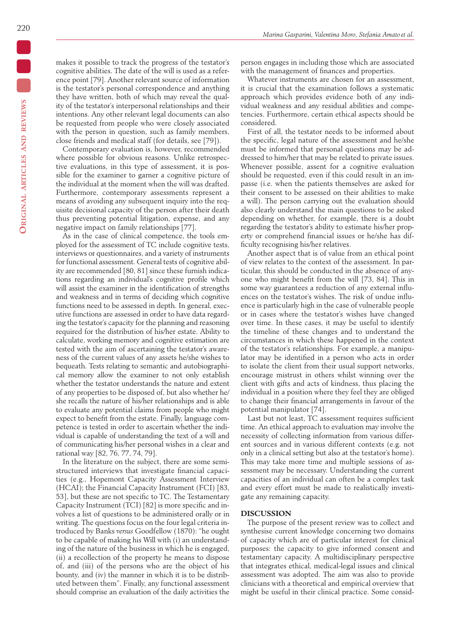makes it possible to track the progress of the testator's cognitive abilities. The date of the will is used as a reference point [79]. Another relevant source of information is the testator's personal correspondence and anything they have written, both of which may reveal the quality of the testator's interpersonal relationships and their intentions. Any other relevant legal documents can also be requested from people who were closely associated with the person in question, such as family members, close friends and medical staff (for details, see [79]).

Contemporary evaluation is, however, recommended where possible for obvious reasons. Unlike retrospective evaluations, in this type of assessment, it is possible for the examiner to garner a cognitive picture of the individual at the moment when the will was drafted. Furthermore, contemporary assessments represent a means of avoiding any subsequent inquiry into the requisite decisional capacity of the person after their death thus preventing potential litigation, expense, and any negative impact on family relationships [77].

As in the case of clinical competence, the tools employed for the assessment of TC include cognitive tests, interviews or questionnaires, and a variety of instruments for functional assessment. General tests of cognitive ability are recommended [80, 81] since these furnish indications regarding an individual's cognitive profile which will assist the examiner in the identification of strengths and weakness and in terms of deciding which cognitive functions need to be assessed in depth. In general, executive functions are assessed in order to have data regarding the testator's capacity for the planning and reasoning required for the distribution of his/her estate. Ability to calculate, working memory and cognitive estimation are tested with the aim of ascertaining the testator's awareness of the current values of any assets he/she wishes to bequeath. Tests relating to semantic and autobiographical memory allow the examiner to not only establish whether the testator understands the nature and extent of any properties to be disposed of, but also whether he/ she recalls the nature of his/her relationships and is able to evaluate any potential claims from people who might expect to benefit from the estate. Finally, language competence is tested in order to ascertain whether the individual is capable of understanding the text of a will and of communicating his/her personal wishes in a clear and rational way [82, 76, 77, 74, 79].

In the literature on the subject, there are some semistructured interviews that investigate financial capacities (e.g., Hopemont Capacity Assessment Interview (HCAI); the Financial Capacity Instrument (FCI) [83, 53], but these are not specific to TC. The Testamentary Capacity Instrument (TCI) [82] is more specific and involves a list of questions to be administered orally or in writing. The questions focus on the four legal criteria introduced by Banks *versus* Goodfellow (1870): "he ought to be capable of making his Will with (i) an understanding of the nature of the business in which he is engaged, (ii) a recollection of the property he means to dispose of, and (iii) of the persons who are the object of his bounty, and (iv) the manner in which it is to be distributed between them". Finally, any functional assessment should comprise an evaluation of the daily activities the

person engages in including those which are associated with the management of finances and properties.

Whatever instruments are chosen for an assessment, it is crucial that the examination follows a systematic approach which provides evidence both of any individual weakness and any residual abilities and competencies. Furthermore, certain ethical aspects should be considered.

First of all, the testator needs to be informed about the specific, legal nature of the assessment and he/she must be informed that personal questions may be addressed to him/her that may be related to private issues. Whenever possible, assent for a cognitive evaluation should be requested, even if this could result in an impasse (i.e. when the patients themselves are asked for their consent to be assessed on their abilities to make a will). The person carrying out the evaluation should also clearly understand the main questions to be asked depending on whether, for example, there is a doubt regarding the testator's ability to estimate his/her property or comprehend financial issues or he/she has difficulty recognising his/her relatives.

Another aspect that is of value from an ethical point of view relates to the context of the assessment. In particular, this should be conducted in the absence of anyone who might benefit from the will [73, 84]. This in some way guarantees a reduction of any external influences on the testator's wishes. The risk of undue influence is particularly high in the case of vulnerable people or in cases where the testator's wishes have changed over time. In these cases, it may be useful to identify the timeline of these changes and to understand the circumstances in which these happened in the context of the testator's relationships. For example, a manipulator may be identified in a person who acts in order to isolate the client from their usual support networks, encourage mistrust in others whilst winning over the client with gifts and acts of kindness, thus placing the individual in a position where they feel they are obliged to change their financial arrangements in favour of the potential manipulator [74].

Last but not least, TC assessment requires sufficient time. An ethical approach to evaluation may involve the necessity of collecting information from various different sources and in various different contexts (e.g. not only in a clinical setting but also at the testator's home). This may take more time and multiple sessions of assessment may be necessary. Understanding the current capacities of an individual can often be a complex task and every effort must be made to realistically investigate any remaining capacity.

## **DISCUSSION**

The purpose of the present review was to collect and synthesise current knowledge concerning two domains of capacity which are of particular interest for clinical purposes: the capacity to give informed consent and testamentary capacity. A multidisciplinary perspective that integrates ethical, medical-legal issues and clinical assessment was adopted. The aim was also to provide clinicians with a theoretical and empirical overview that might be useful in their clinical practice. Some consid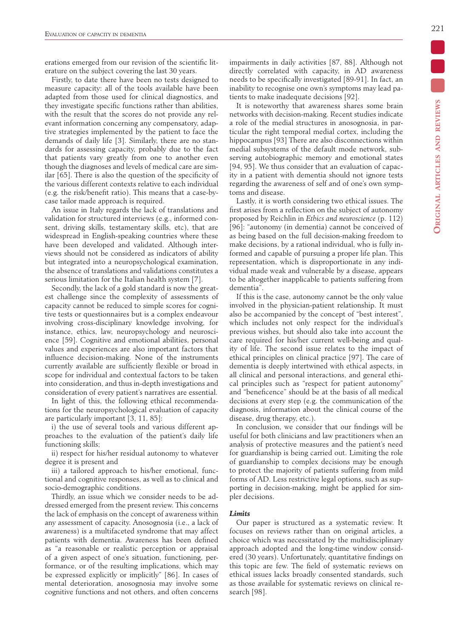erations emerged from our revision of the scientific literature on the subject covering the last 30 years.

Firstly, to date there have been no tests designed to measure capacity: all of the tools available have been adapted from those used for clinical diagnostics, and they investigate specific functions rather than abilities, with the result that the scores do not provide any relevant information concerning any compensatory, adaptive strategies implemented by the patient to face the demands of daily life [3]. Similarly, there are no standards for assessing capacity, probably due to the fact that patients vary greatly from one to another even though the diagnoses and levels of medical care are similar [65]. There is also the question of the specificity of the various different contexts relative to each individual (e.g. the risk/benefit ratio). This means that a case-bycase tailor made approach is required.

An issue in Italy regards the lack of translations and validation for structured interviews (e.g., informed consent, driving skills, testamentary skills, etc), that are widespread in English-speaking countries where these have been developed and validated. Although interviews should not be considered as indicators of ability but integrated into a neuropsychological examination, the absence of translations and validations constitutes a serious limitation for the Italian health system [7].

Secondly, the lack of a gold standard is now the greatest challenge since the complexity of assessments of capacity cannot be reduced to simple scores for cognitive tests or questionnaires but is a complex endeavour involving cross-disciplinary knowledge involving, for instance, ethics, law, neuropsychology and neuroscience [59]. Cognitive and emotional abilities, personal values and experiences are also important factors that influence decision-making. None of the instruments currently available are sufficiently flexible or broad in scope for individual and contextual factors to be taken into consideration, and thus in-depth investigations and consideration of every patient's narratives are essential.

In light of this, the following ethical recommendations for the neuropsychological evaluation of capacity are particularly important [3, 11, 85]:

i) the use of several tools and various different approaches to the evaluation of the patient's daily life functioning skills;

ii) respect for his/her residual autonomy to whatever degree it is present and

iii) a tailored approach to his/her emotional, functional and cognitive responses, as well as to clinical and socio-demographic conditions.

Thirdly, an issue which we consider needs to be addressed emerged from the present review. This concerns the lack of emphasis on the concept of awareness within any assessment of capacity. Anosognosia (i.e., a lack of awareness) is a multifaceted syndrome that may affect patients with dementia. Awareness has been defined as "a reasonable or realistic perception or appraisal of a given aspect of one's situation, functioning, performance, or of the resulting implications, which may be expressed explicitly or implicitly" [86]. In cases of mental deterioration, anosognosia may involve some cognitive functions and not others, and often concerns impairments in daily activities [87, 88]. Although not directly correlated with capacity, in AD awareness needs to be specifically investigated [89-91]. In fact, an inability to recognise one own's symptoms may lead patients to make inadequate decisions [92].

It is noteworthy that awareness shares some brain networks with decision-making. Recent studies indicate a role of the medial structures in anosognosia, in particular the right temporal medial cortex, including the hippocampus [93] There are also disconnections within medial subsystems of the default mode network, subserving autobiographic memory and emotional states [94, 95]. We thus consider that an evaluation of capacity in a patient with dementia should not ignore tests regarding the awareness of self and of one's own symptoms and disease.

Lastly, it is worth considering two ethical issues. The first arises from a reflection on the subject of autonomy proposed by Reichlin in *Ethics and neuroscience* (p. 112) [96]: "autonomy (in dementia) cannot be conceived of as being based on the full decision-making freedom to make decisions, by a rational individual, who is fully informed and capable of pursuing a proper life plan. This representation, which is disproportionate in any individual made weak and vulnerable by a disease, appears to be altogether inapplicable to patients suffering from dementia".

If this is the case, autonomy cannot be the only value involved in the physician-patient relationship. It must also be accompanied by the concept of "best interest", which includes not only respect for the individual's previous wishes, but should also take into account the care required for his/her current well-being and quality of life. The second issue relates to the impact of ethical principles on clinical practice [97]. The care of dementia is deeply intertwined with ethical aspects, in all clinical and personal interactions, and general ethical principles such as "respect for patient autonomy" and "beneficence" should be at the basis of all medical decisions at every step (e.g. the communication of the diagnosis, information about the clinical course of the disease, drug therapy, etc.).

In conclusion, we consider that our findings will be useful for both clinicians and law practitioners when an analysis of protective measures and the patient's need for guardianship is being carried out. Limiting the role of guardianship to complex decisions may be enough to protect the majority of patients suffering from mild forms of AD. Less restrictive legal options, such as supporting in decision-making, might be applied for simpler decisions.

#### *Limits*

Our paper is structured as a systematic review. It focuses on reviews rather than on original articles, a choice which was necessitated by the multidisciplinary approach adopted and the long-time window considered (30 years). Unfortunately, quantitative findings on this topic are few. The field of systematic reviews on ethical issues lacks broadly consented standards, such as those available for systematic reviews on clinical research [98].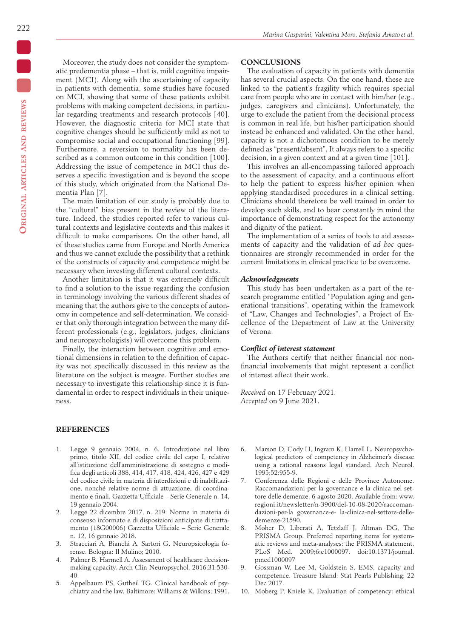Moreover, the study does not consider the symptomatic predementia phase – that is, mild cognitive impairment (MCI). Along with the ascertaining of capacity in patients with dementia, some studies have focused on MCI, showing that some of these patients exhibit problems with making competent decisions, in particular regarding treatments and research protocols [40]. However, the diagnostic criteria for MCI state that cognitive changes should be sufficiently mild as not to compromise social and occupational functioning [99]. Furthermore, a reversion to normality has been described as a common outcome in this condition [100]. Addressing the issue of competence in MCI thus deserves a specific investigation and is beyond the scope of this study, which originated from the National Dementia Plan [7].

The main limitation of our study is probably due to the "cultural" bias present in the review of the literature. Indeed, the studies reported refer to various cultural contexts and legislative contexts and this makes it difficult to make comparisons. On the other hand, all of these studies came from Europe and North America and thus we cannot exclude the possibility that a rethink of the constructs of capacity and competence might be necessary when investing different cultural contexts.

Another limitation is that it was extremely difficult to find a solution to the issue regarding the confusion in terminology involving the various different shades of meaning that the authors give to the concepts of autonomy in competence and self-determination. We consider that only thorough integration between the many different professionals (e.g., legislators, judges, clinicians and neuropsychologists) will overcome this problem.

Finally, the interaction between cognitive and emotional dimensions in relation to the definition of capacity was not specifically discussed in this review as the literature on the subject is meagre. Further studies are necessary to investigate this relationship since it is fundamental in order to respect individuals in their uniqueness.

#### **REFERENCES**

- 1. Legge 9 gennaio 2004, n. 6. Introduzione nel libro primo, titolo XII, del codice civile del capo I, relativo all'istituzione dell'amministrazione di sostegno e modifica degli articoli 388, 414, 417, 418, 424, 426, 427 e 429 del codice civile in materia di interdizioni e di inabilitazione, nonché relative norme di attuazione, di coordinamento e finali. Gazzetta Ufficiale – Serie Generale n. 14, 19 gennaio 2004.
- 2. Legge 22 dicembre 2017, n. 219. Norme in materia di consenso informato e di disposizioni anticipate di trattamento (18G00006) Gazzetta Ufficiale – Serie Generale n. 12, 16 gennaio 2018.
- 3. Stracciari A, Bianchi A, Sartori G. Neuropsicologia forense. Bologna: Il Mulino; 2010.
- 4. Palmer B, Harmell A. Assessment of healthcare decisionmaking capacity. Arch Clin Neuropsychol. 2016;31:530- 40.
- 5. Appelbaum PS, Gutheil TG. Clinical handbook of psychiatry and the law. Baltimore: Williams & Wilkins; 1991.

# **CONCLUSIONS**

The evaluation of capacity in patients with dementia has several crucial aspects. On the one hand, these are linked to the patient's fragility which requires special care from people who are in contact with him/her (e.g., judges, caregivers and clinicians). Unfortunately, the urge to exclude the patient from the decisional process is common in real life, but his/her participation should instead be enhanced and validated. On the other hand, capacity is not a dichotomous condition to be merely defined as "present/absent". It always refers to a specific decision, in a given context and at a given time [101].

This involves an all-encompassing tailored approach to the assessment of capacity, and a continuous effort to help the patient to express his/her opinion when applying standardised procedures in a clinical setting. Clinicians should therefore be well trained in order to develop such skills, and to bear constantly in mind the importance of demonstrating respect for the autonomy and dignity of the patient.

The implementation of a series of tools to aid assessments of capacity and the validation of *ad hoc* questionnaires are strongly recommended in order for the current limitations in clinical practice to be overcome.

#### *Acknowledgments*

This study has been undertaken as a part of the research programme entitled "Population aging and generational transitions", operating within the framework of "Law, Changes and Technologies", a Project of Excellence of the Department of Law at the University of Verona.

## *Conflict of interest statement*

The Authors certify that neither financial nor nonfinancial involvements that might represent a conflict of interest affect their work.

*Received* on 17 February 2021. *Accepted* on 9 June 2021.

- 6. Marson D, Cody H, Ingram K, Harrell L. Neuropsychological predictors of competency in Alzheimer's disease using a rational reasons legal standard. Arch Neurol. 1995;52:955-9.
- 7. Conferenza delle Regioni e delle Province Autonome. Raccomandazioni per la governance e la clinica nel settore delle demenze. 6 agosto 2020. Available from: www. regioni.it/newsletter/n-3900/del-10-08-2020/raccomandazioni-per-la governance-e- la-clinica-nel-settore-delledemenze-21590.
- 8. Moher D, Liberati A, Tetzlaff J, Altman DG, The PRISMA Group. Preferred reporting items for systematic reviews and meta-analyses: the PRISMA statement. PLoS Med. 2009;6:e1000097. doi:10.1371/journal. pmed1000097
- 9. Gossman W, Lee M, Goldstein S. EMS, capacity and competence. Treasure Island: Stat Pearls Publishing; 22 Dec 2017.
- 10. Moberg P, Kniele K. Evaluation of competency: ethical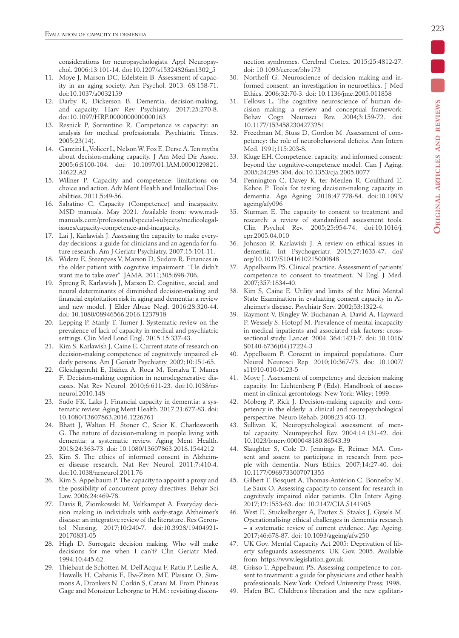considerations for neuropsychologists. Appl Neuropsychol. 2006;13:101-14. doi:10.1207/s15324826an1302\_5

- 11. Moye J, Marson DC, Edelstein B. Assessment of capacity in an aging society. Am Psychol. 2013; 68:158-71. doi:10.1037/a0032159
- 12. Darby R, Dickerson B. Dementia, decision-making, and capacity. Harv Rev Psychiatry. 2017;25:270-8. doi:10.1097/HRP.0000000000000163
- 13. Resnick P, Sorrentino R. Competence *vs* capacity: an analysis for medical professionals. Psychiatric Times. 2005;23(14).
- 14. Ganzini L, Volicer L, Nelson W, Fox E, Derse A. Ten myths about decision-making capacity. J Am Med Dir Assoc. 2005;6:S100-104. doi: 10.1097/01.JAM.0000129821. 34622.A2
- 15. Willner P. Capacity and competence: limitations on choice and action. Adv Ment Health and Intellectual Disabilities. 2011;5:49-56.
- 16. Sabatino C. Capacity (Competence) and incapacity. MSD manuals. May 2021. Available from: www.msdmanuals.com/professional/special-subjects/medicolegalissues/capacity-competence-and-incapacity.
- 17. Lai J, Karlawish J. Assessing the capacity to make everyday decisions: a guide for clinicians and an agenda for future research. Am J Geriatr Psychiatry. 2007;15:101-11.
- Widera E, Steenpass V, Marson D, Sudore R. Finances in the older patient with cognitive impairment. "He didn't want me to take over". JAMA. 2011;305:698-706.
- 19. Spreng R, Karlawish J, Marson D. Cognitive, social, and neural determinants of diminished decision-making and financial exploitation risk in aging and dementia: a review and new model. J Elder Abuse Negl. 2016;28:320-44. doi: 10.1080/08946566.2016.1237918
- 20. Lepping P, Stanly T, Turner J. Systematic review on the prevalence of lack of capacity in medical and psychiatric settings. Clin Med Lond Engl. 2015;15:337-43.
- 21. Kim S, Karlawish J, Caine E. Current state of research on decision-making competence of cognitively impaired elderly persons. Am J Geriatr Psychiatry. 2002;10:151-65.
- 22. Gleichgerrcht E, Ibáñez A, Roca M, Torralva T, Manes F. Decision-making cognition in neurodegenerative diseases. Nat Rev Neurol. 2010;6:611-23. doi:10.1038/nrneurol.2010.148
- 23. Sudo FK, Laks J. Financial capacity in dementia: a systematic review. Aging Ment Health. 2017;21:677-83. doi: 10.1080/13607863.2016.1226761
- 24. Bhatt J, Walton H, Stoner C, Scior K, Charlesworth G. The nature of decision-making in people living with dementia: a systematic review. Aging Ment Health. 2018;24:363-73. doi: 10.1080/13607863.2018.1544212
- 25. Kim S. The ethics of informed consent in Alzheimer disease research. Nat Rev Neurol. 2011;7:410-4. doi:10.1038/nrneurol.2011.76
- 26. Kim S, Appelbaum P. The capacity to appoint a proxy and the possibility of concurrent proxy directives. Behav Sci Law. 2006;24:469-78.
- 27. Davis R, Ziomkowski M, Veltkampet A. Everyday decision making in individuals with early-stage Alzheimer's disease: an integrative review of the literature. Res Gerontol Nursing. 2017;10:240-7. doi:10.3928/19404921- 20170831-05
- 28. High D. Surrogate decision making. Who will make decisions for me when I can't? Clin Geriatr Med. 1994;10:445-62.
- 29. Thiebaut de Schotten M, Dell'Acqua F, Ratiu P, Leslie A, Howells H, Cabanis E, Iba-Zizen MT, Plaisant O, Simmons A, Dronkers N, Corkin S, Catani M. From Phineas Gage and Monsieur Leborgne to H.M.: revisiting discon-
- 30. Northoff G. Neuroscience of decision making and informed consent: an investigation in neuroethics. J Med Ethics. 2006;32:70-3. doi: 10.1136/jme.2005.011858
- 31. Fellows L. The cognitive neuroscience of human decision making: a review and conceptual framework. Behav Cogn Neurosci Rev. 2004;3:159-72. doi: 10.1177/1534582304273251
- 32. Freedman M, Stuss D, Gordon M. Assessment of competency: the role of neurobehavioral deficits. Ann Intern Med. 1991;115:203-8.
- 33. Kluge EH. Competence, capacity, and informed consent: beyond the cognitive-competence model. Can J Aging. 2005;24:295-304. doi:10.1353/cja.2005.0077
- 34. Pennington C, Davey K, ter Meulen R, Coulthard E, Kehoe P. Tools for testing decision-making capacity in dementia. Age Ageing. 2018;47:778-84. doi:10.1093/ ageing/afy096
- 35. Sturman E. The capacity to consent to treatment and research: a review of standardized assessment tools. Clin Psychol Rev. 2005;25:954-74. doi:10.1016/j. cpr.2005.04.010
- 36. Johnson R, Karlawish J. A review on ethical issues in dementia. Int Psychogeriatr. 2015;27:1635-47. doi/ org/10.1017/S1041610215000848
- 37. Appelbaum PS. Clinical practice. Assessment of patients' competence to consent to treatment. N Engl J Med. 2007;357:1834-40.
- 38. Kim S, Caine E. Utility and limits of the Mini Mental State Examination in evaluating consent capacity in Alzheimer's disease. Psychiatr Serv. 2002;53:1322-4.
- 39. Raymont V, Bingley W, Buchanan A, David A, Hayward P, Wessely S, Hotopf M. Prevalence of mental incapacity in medical inpatients and associated risk factors: crosssectional study. Lancet. 2004, 364:1421-7. doi: 10.1016/ S0140-6736(04)17224-3
- 40. Appelbaum P. Consent in impaired populations. Curr Neurol Neurosci Rep. 2010;10:367-73. doi: 10.1007/ s11910-010-0123-5
- 41. Moye J. Assessment of competency and decision making capacity. In: Lichtenberg P (Eds). Handbook of assessment in clinical gerontology. New York: Wiley; 1999.
- 42. Moberg P, Rick J. Decision-making capacity and competency in the elderly: a clinical and neuropsychological perspective. Neuro Rehab. 2008;23:403-13.
- 43. Sullivan K, Neuropychological assessment of mental capacity. Neuropsychol Rev. 2004;14:131-42. doi: 10.1023/b:nerv.0000048180.86543.39
- 44. Slaughter S, Cole D, Jennings E, Reimer MA. Consent and assent to participate in research from people with dementia. Nurs Ethics. 2007;14:27-40. doi: 10.1177/0969733007071355
- 45. Gilbert T, Bosquet A, Thomas-Antérion C, Bonnefoy M, Le Saux O. Assessing capacity to consent for research in cognitively impaired older patients. Clin Interv Aging. 2017;12:1553-63. doi: 10.2147/CIA.S141905
- 46. West E, Stuckelberger A, Pautex S, Staaks J, Gysels M. Operationalising ethical challenges in dementia research – a systematic review of current evidence. Age Ageing. 2017;46:678-87. doi: 10.1093/ageing/afw250
- 47. UK Gov. Mental Capacity Act 2005: Deprivation of liberty safeguards assessments. UK Gov. 2005. Available from: https://www.legislation.gov.uk.
- 48. Grisso T, Appelbaum PS. Assessing competence to consent to treatment: a guide for physicians and other health professionals. New York: Oxford University Press; 1998.
- 49. Hafen BC. Children's liberation and the new egalitari-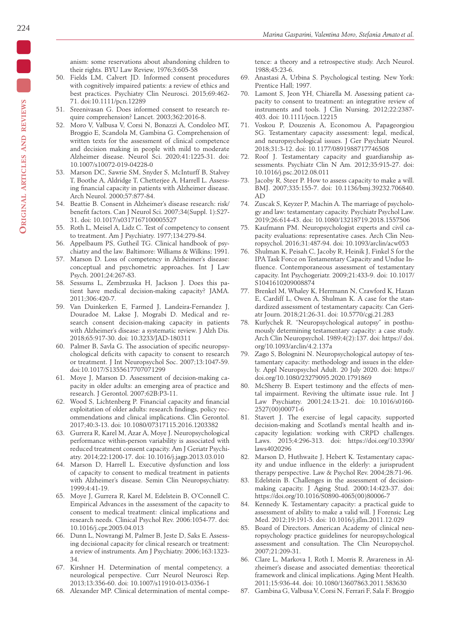anism: some reservations about abandoning children to their rights. BYU Law Review, 1976;3:605-58

- 50. Fields LM, Calvert JD. Informed consent procedures with cognitively impaired patients: a review of ethics and best practices. Psychiatry Clin Neurosci. 2015;69:462- 71. doi:10.1111/pcn.12289
- 51. Sreenivasan G. Does informed consent to research require comprehension? Lancet. 2003;362:2016-8.
- 52. Moro V, Valbusa V, Corsi N, Bonazzi A, Condoleo MT, Broggio E, Scandola M, Gambina G. Comprehension of written texts for the assessment of clinical competence and decision making in people with mild to moderate Alzheimer disease. Neurol Sci. 2020;41:1225-31. doi: 10.1007/s10072-019-04228-0
- 53. Marson DC, Sawrie SM, Snyder S, McInturff B, Stalvey T, Boothe A, Aldridge T, Chetterjee A, Harrell L. Assessing financial capacity in patients with Alzheimer disease. Arch Neurol. 2000;57:877-84.
- 54. Beattie B. Consent in Alzheimer's disease research: risk/ benefit factors. Can J Neurol Sci. 2007;34(Suppl. 1):S27- 31. doi: 10.1017/s0317167100005527
- 55. Roth L, Meisel A, Lidz C. Test of competency to consent to treatment. Am J Psychiatry. 1977;134:279-84.
- 56. Appelbaum PS, Gutheil TG. Clinical handbook of psychiatry and the law. Baltimore: Williams & Wilkins; 1991.
- 57. Marson D. Loss of competency in Alzheimer's disease: conceptual and psychometric approaches. Int J Law Psych. 2001;24:267-83.
- 58. Sessums L, Zembrzuska H, Jackson J. Does this patient have medical decision-making capacity? JAMA. 2011;306:420-7.
- 59. Van Duinkerken E, Farmed J, Landeira-Fernandez J, Douradoe M, Lakse J, Mograbi D. Medical and research consent decision-making capacity in patients with Alzheimer's disease: a systematic review. J Alzh Dis. 2018;65:917-30. doi: 10.3233/JAD-180311
- 60. Palmer B, Savla G. The association of specific neuropsychological deficits with capacity to consent to research or treatment. J Int Neuropsychol Soc. 2007;13:1047-59. doi:10.1017/S1355617707071299
- 61. Moye J, Marson D. Assessment of decision-making capacity in older adults: an emerging area of practice and research. J Gerontol. 2007;62B:P3-11.
- 62. Wood S, Lichtenberg P. Financial capacity and financial exploitation of older adults: research findings, policy recommendations and clinical implications. Clin Gerontol. 2017;40:3-13. doi: 10.1080/07317115.2016.1203382
- 63. Gurrera R, Karel M, Azar A, Moye J. Neuropsychological performance within-person variability is associated with reduced treatment consent capacity. Am J Geriatr Psychiatry. 2014;22:1200-17. doi: 10.1016/j.jagp.2013.03.010
- 64. Marson D, Harrell L. Executive dysfunction and loss of capacity to consent to medical treatment in patients with Alzheimer's disease. Semin Clin Neuropsychiatry. 1999;4:41-19.
- 65. Moye J, Gurrera R, Karel M, Edelstein B, O'Connell C. Empirical Advances in the assessment of the capacity to consent to medical treatment: clinical implications and research needs. Clinical Psychol Rev. 2006:1054-77. doi: 10.1016/j.cpr.2005.04.013
- 66. Dunn L, Nowrangi M, Palmer B, Jeste D, Saks E. Assessing decisional capacity for clinical research or treatment: a review of instruments. Am J Psychiatry. 2006;163:1323- 34.
- 67. Kirshner H. Determination of mental competency, a neurological perspective. Curr Neurol Neurosci Rep. 2013;13:356-60. doi: 10.1007/s11910-013-0356-1
- 68. Alexander MP. Clinical determination of mental compe-

tence: a theory and a retrospective study. Arch Neurol. 1988;45:23-6.

- 69. Anastasi A, Urbina S. Psychological testing. New York: Prentice Hall; 1997.
- 70. Lamont S, Jeon YH, Chiarella M. Assessing patient capacity to consent to treatment: an integrative review of instruments and tools. J Clin Nursing. 2012;22:2387- 403. doi: 10.1111/jocn.12215
- 71. Voskou P, Douzenis A, Economou A, Papageorgiou SG. Testamentary capacity assessment: legal, medical, and neuropsychological issues. J Ger Psychiatr Neurol. 2018;31:3-12. doi: 10.1177/0891988717746508
- 72. Roof J. Testamentary capacity and guardianship assessments. Psychiatr Clin N Am. 2012;35:915-27. doi: 10.1016/j.psc.2012.08.011
- 73. Jacoby R, Steer P. How to assess capacity to make a will. BMJ. 2007;335:155-7. doi: 10.1136/bmj.39232.706840. AD
- 74. Zuscak S, Keyzer P, Machin A. The marriage of psychology and law: testamentary capacity. Psychiatr Psychol Law. 2019;26:614-43. doi: 10.1080/13218719.2018.1557506
- 75. Kaufmann PM. Neuropsychologist experts and civil capacity evaluations: representative cases. Arch Clin Neuropsychol. 2016;31:487-94. doi: 10.1093/arclin/acw053
- 76. Shulman K, Peisah C, Jacoby R, Heinik J, Finkel S for the IPA Task Force on Testamentary Capacity and Undue Influence. Contemporaneous assessment of testamentary capacity. Int Psychogeriatr. 2009;21:433-9. doi: 10.1017/ S1041610209008874
- 77. Brenkel M, Whaley K, Herrmann N, Crawford K, Hazan E, Cardiff L, Owen A, Shulman K. A case for the standardized assessment of testamentary capacity. Can Geriatr Journ. 2018;21:26-31. doi: 10.5770/cgj.21.283
- 78. Kurlychek R. "Neuropsychological autopsy" in posthumously determining testamentary capacity: a case study. Arch Clin Neuropsychol. 1989;4(2):137. doi: https:// doi. org/10.1093/arclin/4.2.137a
- 79. Zago S, Bolognini N. Neuropsychological autopsy of testamentary capacity: methodology and issues in the elderly. Appl Neuropsychol Adult. 20 July 2020. doi: https:// doi.org/10.1080/23279095.2020.1791869
- 80. McSherry B. Expert testimony and the effects of mental impairment. Reviving the ultimate issue rule. Int J Law Psychiatry. 2001;24:13-21. doi: 10.1016/s0160- 2527(00)00071-6
- 81. Stavert J. The exercise of legal capacity, supported decision-making and Scotland's mental health and incapacity legislation: working with CRPD challenges. Laws. 2015;4:296-313. doi: https://doi.org/10.3390/ laws4020296
- 82. Marson D, Huthwaite J, Hebert K. Testamentary capacity and undue influence in the elderly: a jurisprudent therapy perspective. Law & Psychol Rev. 2004;28:71-96.
- 83. Edelstein B. Challenges in the assessment of decisionmaking capacity. J Aging Stud. 2000;14:423-37. doi: https://doi.org/10.1016/S0890-4065(00)80006-7
- 84. Kennedy K. Testamentary capacity: a practical guide to assessment of ability to make a valid will. J Forensic Leg Med. 2012;19:191-5. doi: 10.1016/j.jflm.2011.12.029
- 85. Board of Directors. American Academy of clinical neuropsychology practice guidelines for neuropsychological assessment and consultation. The Clin Neuropsychol. 2007;21:209-31.
- 86. Clare L, Markova I, Roth I, Morris R. Awareness in Alzheimer's disease and associated dementias: theoretical framework and clinical implications. Aging Ment Health. 2011;15:936-44. doi: 10.1080/13607863.2011.583630
- 87. Gambina G, Valbusa V, Corsi N, Ferrari F, Sala F. Broggio